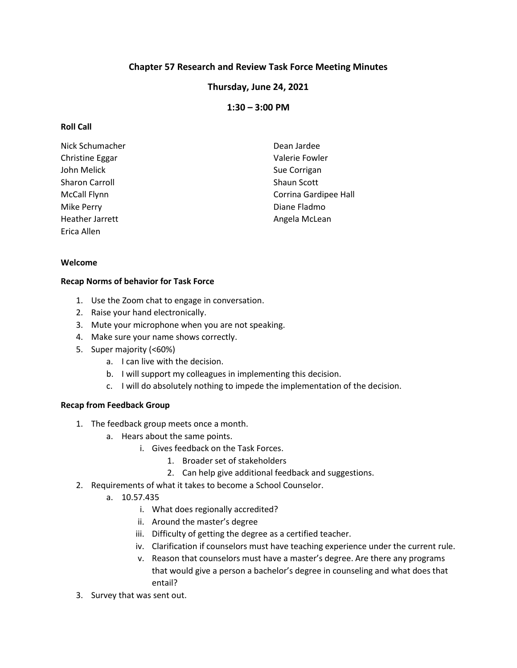# **Chapter 57 Research and Review Task Force Meeting Minutes**

## **Thursday, June 24, 2021**

## **1:30 – 3:00 PM**

### **Roll Call**

| Nick Schumacher       | Dean Jardee           |
|-----------------------|-----------------------|
| Christine Eggar       | Valerie Fowler        |
| John Melick           | Sue Corrigan          |
| <b>Sharon Carroll</b> | Shaun Scott           |
| <b>McCall Flynn</b>   | Corrina Gardipee Hall |
| Mike Perry            | Diane Fladmo          |
| Heather Jarrett       | Angela McLean         |
| Erica Allen           |                       |

### **Welcome**

### **Recap Norms of behavior for Task Force**

- 1. Use the Zoom chat to engage in conversation.
- 2. Raise your hand electronically.
- 3. Mute your microphone when you are not speaking.
- 4. Make sure your name shows correctly.
- 5. Super majority (<60%)
	- a. I can live with the decision.
	- b. I will support my colleagues in implementing this decision.
	- c. I will do absolutely nothing to impede the implementation of the decision.

## **Recap from Feedback Group**

- 1. The feedback group meets once a month.
	- a. Hears about the same points.
		- i. Gives feedback on the Task Forces.
			- 1. Broader set of stakeholders
			- 2. Can help give additional feedback and suggestions.
- 2. Requirements of what it takes to become a School Counselor.
	- a. 10.57.435
		- i. What does regionally accredited?
		- ii. Around the master's degree
		- iii. Difficulty of getting the degree as a certified teacher.
		- iv. Clarification if counselors must have teaching experience under the current rule.
		- v. Reason that counselors must have a master's degree. Are there any programs that would give a person a bachelor's degree in counseling and what does that entail?
- 3. Survey that was sent out.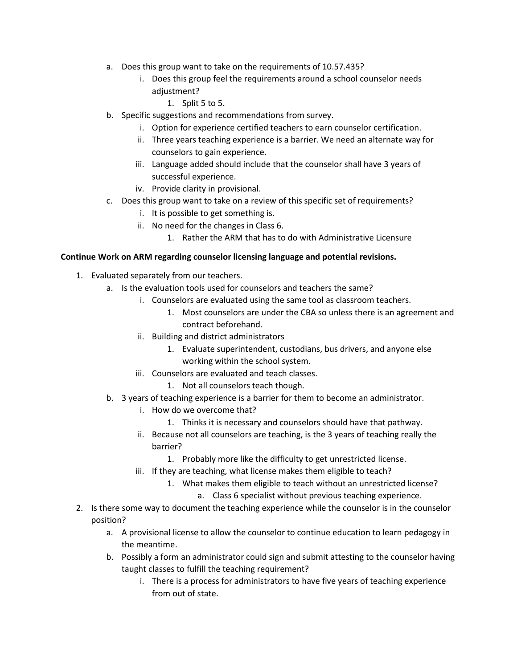- a. Does this group want to take on the requirements of 10.57.435?
	- i. Does this group feel the requirements around a school counselor needs adjustment?
		- 1. Split 5 to 5.
- b. Specific suggestions and recommendations from survey.
	- i. Option for experience certified teachers to earn counselor certification.
	- ii. Three years teaching experience is a barrier. We need an alternate way for counselors to gain experience.
	- iii. Language added should include that the counselor shall have 3 years of successful experience.
	- iv. Provide clarity in provisional.
- c. Does this group want to take on a review of this specific set of requirements?
	- i. It is possible to get something is.
	- ii. No need for the changes in Class 6.
		- 1. Rather the ARM that has to do with Administrative Licensure

### **Continue Work on ARM regarding counselor licensing language and potential revisions.**

- 1. Evaluated separately from our teachers.
	- a. Is the evaluation tools used for counselors and teachers the same?
		- i. Counselors are evaluated using the same tool as classroom teachers.
			- 1. Most counselors are under the CBA so unless there is an agreement and contract beforehand.
			- ii. Building and district administrators
				- 1. Evaluate superintendent, custodians, bus drivers, and anyone else working within the school system.
		- iii. Counselors are evaluated and teach classes.
			- 1. Not all counselors teach though.
	- b. 3 years of teaching experience is a barrier for them to become an administrator.
		- i. How do we overcome that?
			- 1. Thinks it is necessary and counselors should have that pathway.
		- ii. Because not all counselors are teaching, is the 3 years of teaching really the barrier?
			- 1. Probably more like the difficulty to get unrestricted license.
		- iii. If they are teaching, what license makes them eligible to teach?
			- 1. What makes them eligible to teach without an unrestricted license?
				- a. Class 6 specialist without previous teaching experience.
- 2. Is there some way to document the teaching experience while the counselor is in the counselor position?
	- a. A provisional license to allow the counselor to continue education to learn pedagogy in the meantime.
	- b. Possibly a form an administrator could sign and submit attesting to the counselor having taught classes to fulfill the teaching requirement?
		- i. There is a process for administrators to have five years of teaching experience from out of state.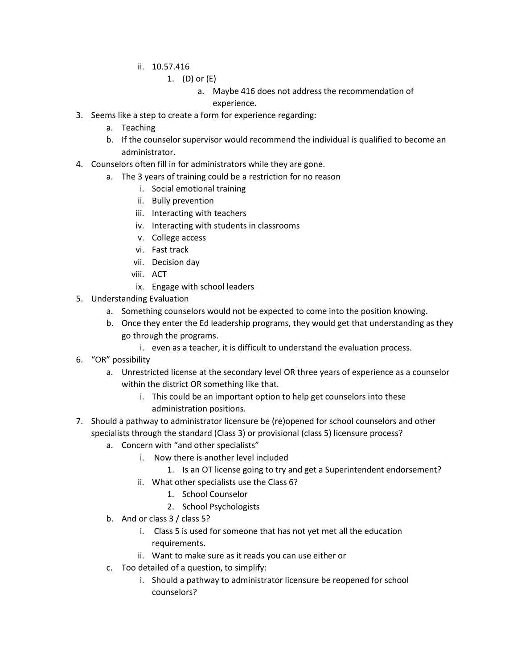- ii. 10.57.416
	- 1. (D) or (E)
		- a. Maybe 416 does not address the recommendation of experience.
- 3. Seems like a step to create a form for experience regarding:
	- a. Teaching
	- b. If the counselor supervisor would recommend the individual is qualified to become an administrator.
- 4. Counselors often fill in for administrators while they are gone.
	- a. The 3 years of training could be a restriction for no reason
		- i. Social emotional training
		- ii. Bully prevention
		- iii. Interacting with teachers
		- iv. Interacting with students in classrooms
		- v. College access
		- vi. Fast track
		- vii. Decision day
		- viii. ACT
		- ix. Engage with school leaders
- 5. Understanding Evaluation
	- a. Something counselors would not be expected to come into the position knowing.
	- b. Once they enter the Ed leadership programs, they would get that understanding as they go through the programs.
		- i. even as a teacher, it is difficult to understand the evaluation process.
- 6. "OR" possibility
	- a. Unrestricted license at the secondary level OR three years of experience as a counselor within the district OR something like that.
		- i. This could be an important option to help get counselors into these administration positions.
- 7. Should a pathway to administrator licensure be (re)opened for school counselors and other specialists through the standard (Class 3) or provisional (class 5) licensure process?
	- a. Concern with "and other specialists"
		- i. Now there is another level included
			- 1. Is an OT license going to try and get a Superintendent endorsement?
		- ii. What other specialists use the Class 6?
			- 1. School Counselor
			- 2. School Psychologists
	- b. And or class 3 / class 5?
		- i. Class 5 is used for someone that has not yet met all the education requirements.
		- ii. Want to make sure as it reads you can use either or
	- c. Too detailed of a question, to simplify:
		- i. Should a pathway to administrator licensure be reopened for school counselors?